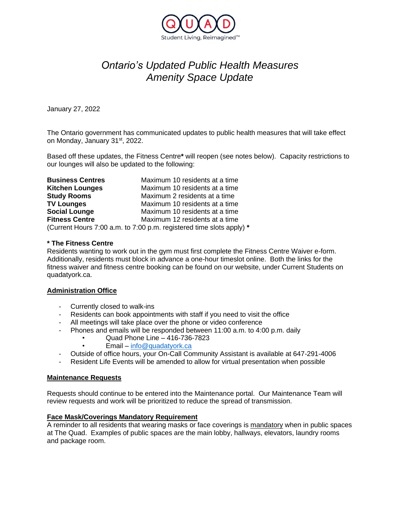

# *Ontario's Updated Public Health Measures Amenity Space Update*

January 27, 2022

The Ontario government has communicated updates to public health measures that will take effect on Monday, January 31st, 2022.

Based off these updates, the Fitness Centre**\*** will reopen (see notes below). Capacity restrictions to our lounges will also be updated to the following:

| <b>Business Centres</b> | Maximum 10 residents at a time                                       |
|-------------------------|----------------------------------------------------------------------|
| <b>Kitchen Lounges</b>  | Maximum 10 residents at a time                                       |
| <b>Study Rooms</b>      | Maximum 2 residents at a time                                        |
| <b>TV Lounges</b>       | Maximum 10 residents at a time                                       |
| <b>Social Lounge</b>    | Maximum 10 residents at a time                                       |
| <b>Fitness Centre</b>   | Maximum 12 residents at a time                                       |
|                         | (Current Hours 7:00 a.m. to 7:00 p.m. registered time slots apply) * |

#### **\* The Fitness Centre**

Residents wanting to work out in the gym must first complete the Fitness Centre Waiver e-form. Additionally, residents must block in advance a one-hour timeslot online. Both the links for the fitness waiver and fitness centre booking can be found on our website, under Current Students on quadatyork.ca.

#### **Administration Office**

- Currently closed to walk-ins
- Residents can book appointments with staff if you need to visit the office
- All meetings will take place over the phone or video conference
- Phones and emails will be responded between 11:00 a.m. to 4:00 p.m. daily
	- Quad Phone Line 416-736-7823
	- Email [info@quadatyork.ca](mailto:info@quadatyork.ca)
	- Outside of office hours, your On-Call Community Assistant is available at 647-291-4006
- Resident Life Events will be amended to allow for virtual presentation when possible

#### **Maintenance Requests**

Requests should continue to be entered into the Maintenance portal. Our Maintenance Team will review requests and work will be prioritized to reduce the spread of transmission.

#### **Face Mask/Coverings Mandatory Requirement**

A reminder to all residents that wearing masks or face coverings is mandatory when in public spaces at The Quad. Examples of public spaces are the main lobby, hallways, elevators, laundry rooms and package room.